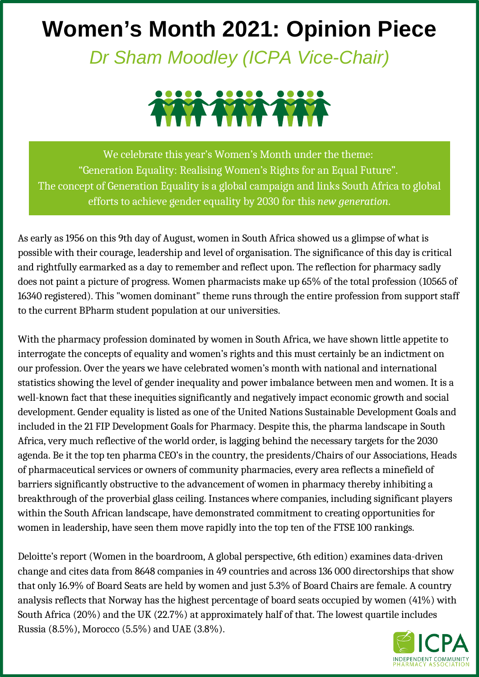## **Women's Month 2021: Opinion Piece**

*Dr Sham Moodley (ICPA Vice-Chair)*



We celebrate this year's Women's Month under the theme: "Generation Equality: Realising Women's Rights for an Equal Future". The concept of Generation Equality is a global campaign and links South Africa to global efforts to achieve gender equality by 2030 for this *new generation*.

As early as 1956 on this 9th day of August, women in South Africa showed us a glimpse of what is possible with their courage, leadership and level of organisation. The significance of this day is critical and rightfully earmarked as a day to remember and reflect upon. The reflection for pharmacy sadly does not paint a picture of progress. Women pharmacists make up 65% of the total profession (10565 of 16340 registered). This "women dominant" theme runs through the entire profession from support staff to the current BPharm student population at our universities.

With the pharmacy profession dominated by women in South Africa, we have shown little appetite to interrogate the concepts of equality and women's rights and this must certainly be an indictment on our profession. Over the years we have celebrated women's month with national and international statistics showing the level of gender inequality and power imbalance between men and women. It is a well-known fact that these inequities significantly and negatively impact economic growth and social development. Gender equality is listed as one of the United Nations Sustainable Development Goals and included in the 21 FIP Development Goals for Pharmacy. Despite this, the pharma landscape in South Africa, very much reflective of the world order, is lagging behind the necessary targets for the 2030 agenda. Be it the top ten pharma CEO's in the country, the presidents/Chairs of our Associations, Heads of pharmaceutical services or owners of community pharmacies, every area reflects a minefield of barriers significantly obstructive to the advancement of women in pharmacy thereby inhibiting a breakthrough of the proverbial glass ceiling. Instances where companies, including significant players within the South African landscape, have demonstrated commitment to creating opportunities for women in leadership, have seen them move rapidly into the top ten of the FTSE 100 rankings.

Deloitte's report (Women in the boardroom, A global perspective, 6th edition) examines data-driven change and cites data from 8648 companies in 49 countries and across 136 000 directorships that show that only 16.9% of Board Seats are held by women and just 5.3% of Board Chairs are female. A country analysis reflects that Norway has the highest percentage of board seats occupied by women (41%) with South Africa (20%) and the UK (22.7%) at approximately half of that. The lowest quartile includes Russia (8.5%), Morocco (5.5%) and UAE (3.8%).

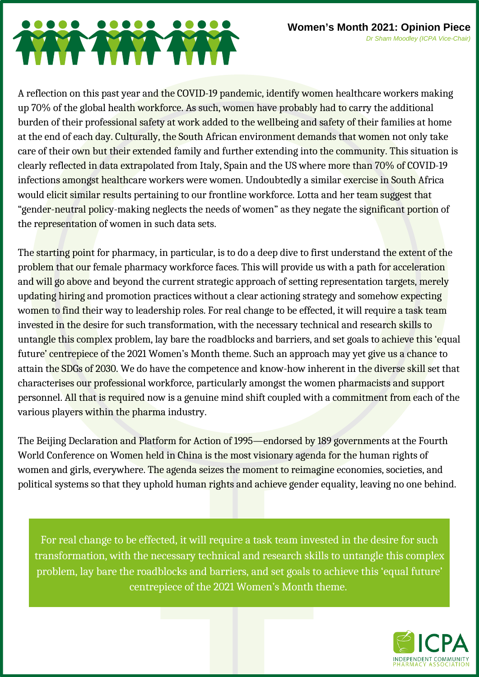## TY YYY

A reflection on this past year and the COVID-19 pandemic, identify women healthcare workers making up 70% of the global health workforce. As such, women have probably had to carry the additional burden of their professional safety at work added to the wellbeing and safety of their families at home at the end of each day. Culturally, the South African environment demands that women not only take care of their own but their extended family and further extending into the community. This situation is clearly reflected in data extrapolated from Italy, Spain and the US where more than 70% of COVID-19 infections amongst healthcare workers were women. Undoubtedly a similar exercise in South Africa would elicit similar results pertaining to our frontline workforce. Lotta and her team suggest that "gender-neutral policy-making neglects the needs of women" as they negate the significant portion of the representation of women in such data sets.

The starting point for pharmacy, in particular, is to do a deep dive to first understand the extent of the problem that our female pharmacy workforce faces. This will provide us with a path for acceleration and will go above and beyond the current strategic approach of setting representation targets, merely updating hiring and promotion practices without a clear actioning strategy and somehow expecting women to find their way to leadership roles. For real change to be effected, it will require a task team invested in the desire for such transformation, with the necessary technical and research skills to untangle this complex problem, lay bare the roadblocks and barriers, and set goals to achieve this 'equal future' centrepiece of the 2021 Women's Month theme. Such an approach may yet give us a chance to attain the SDGs of 2030. We do have the competence and know-how inherent in the diverse skill set that characterises our professional workforce, particularly amongst the women pharmacists and support personnel. All that is required now is a genuine mind shift coupled with a commitment from each of the various players within the pharma industry.

The Beijing Declaration and Platform for Action of 1995—endorsed by 189 governments at the Fourth World Conference on Women held in China is the most visionary agenda for the human rights of women and girls, everywhere. The agenda seizes the moment to reimagine economies, societies, and political systems so that they uphold human rights and achieve gender equality, leaving no one behind.

For real change to be effected, it will require a task team invested in the desire for such transformation, with the necessary technical and research skills to untangle this complex problem, lay bare the roadblocks and barriers, and set goals to achieve this 'equal future' centrepiece of the 2021 Women's Month theme.